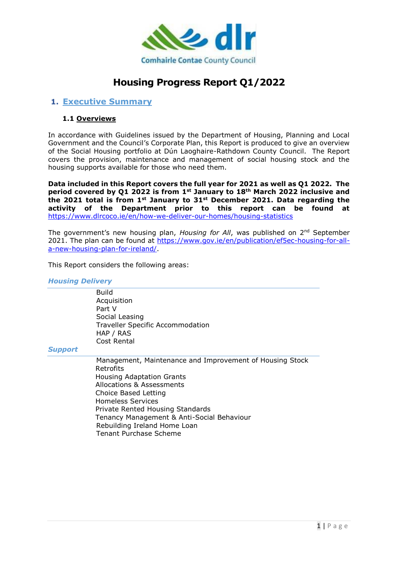

# **Housing Progress Report Q1/2022**

### **1. Executive Summary**

#### **1.1 Overviews**

In accordance with Guidelines issued by the Department of Housing, Planning and Local Government and the Council's Corporate Plan, this Report is produced to give an overview of the Social Housing portfolio at Dún Laoghaire-Rathdown County Council. The Report covers the provision, maintenance and management of social housing stock and the housing supports available for those who need them.

**Data included in this Report covers the full year for 2021 as well as Q1 2022. The period covered by Q1 2022 is from 1st January to 18th March 2022 inclusive and the 2021 total is from 1st January to 31st December 2021. Data regarding the activity of the Department prior to this report can be found at**  <https://www.dlrcoco.ie/en/how-we-deliver-our-homes/housing-statistics>

The government's new housing plan, *Housing for All*, was published on 2nd September 2021. The plan can be found at [https://www.gov.ie/en/publication/ef5ec-housing-for-all](https://www.gov.ie/en/publication/ef5ec-housing-for-all-a-new-housing-plan-for-ireland/)[a-new-housing-plan-for-ireland/.](https://www.gov.ie/en/publication/ef5ec-housing-for-all-a-new-housing-plan-for-ireland/)

This Report considers the following areas:

#### *Housing Delivery*

Build Acquisition Part V Social Leasing Traveller Specific Accommodation HAP / RAS Cost Rental

#### *Support*

Management, Maintenance and Improvement of Housing Stock Retrofits Housing Adaptation Grants Allocations & Assessments Choice Based Letting Homeless Services Private Rented Housing Standards Tenancy Management & Anti-Social Behaviour Rebuilding Ireland Home Loan Tenant Purchase Scheme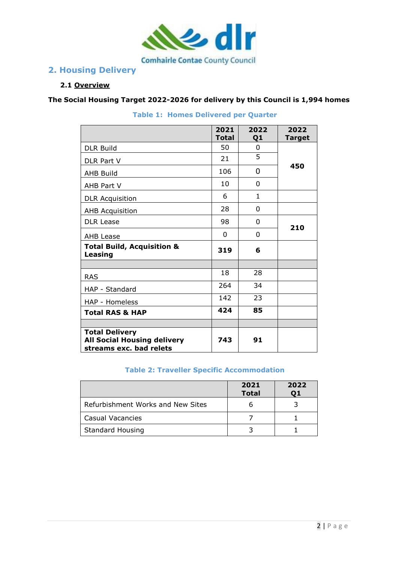

## **2. Housing Delivery**

### **2.1 Overview**

**The Social Housing Target 2022-2026 for delivery by this Council is 1,994 homes** 

|                                                                                        | 2021         | 2022           | 2022          |
|----------------------------------------------------------------------------------------|--------------|----------------|---------------|
|                                                                                        | <b>Total</b> | Q <sub>1</sub> | <b>Target</b> |
| <b>DLR Build</b>                                                                       | 50           | 0              |               |
| DLR Part V                                                                             | 21           | 5              | 450           |
| <b>AHB Build</b>                                                                       | 106          | 0              |               |
| AHB Part V                                                                             | 10           | 0              |               |
| <b>DLR Acquisition</b>                                                                 | 6            | $\mathbf{1}$   |               |
| <b>AHB Acquisition</b>                                                                 | 28           | 0              |               |
| <b>DLR Lease</b>                                                                       | 98           | 0              | 210           |
| <b>AHB Lease</b>                                                                       | 0            | 0              |               |
| <b>Total Build, Acquisition &amp;</b><br>Leasing                                       | 319          | 6              |               |
|                                                                                        |              |                |               |
| <b>RAS</b>                                                                             | 18           | 28             |               |
| HAP - Standard                                                                         | 264          | 34             |               |
| HAP - Homeless                                                                         | 142          | 23             |               |
| <b>Total RAS &amp; HAP</b>                                                             | 424          | 85             |               |
|                                                                                        |              |                |               |
| <b>Total Delivery</b><br><b>All Social Housing delivery</b><br>streams exc. bad relets | 743          | 91             |               |

**Table 1: Homes Delivered per Quarter** 

### **Table 2: Traveller Specific Accommodation**

|                                   | 2021<br><b>Total</b> | 2022 |
|-----------------------------------|----------------------|------|
| Refurbishment Works and New Sites |                      |      |
| Casual Vacancies                  |                      |      |
| <b>Standard Housing</b>           |                      |      |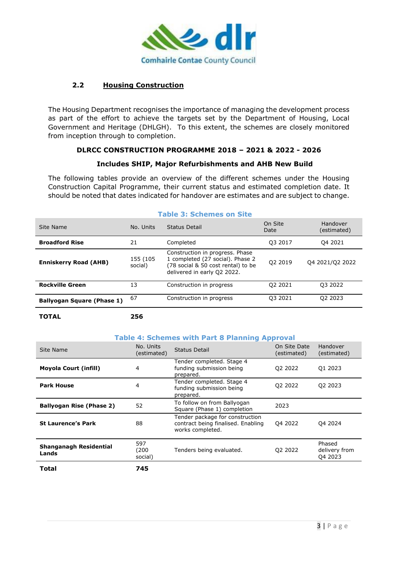

### **2.2 Housing Construction**

**TOTAL 256**

The Housing Department recognises the importance of managing the development process as part of the effort to achieve the targets set by the Department of Housing, Local Government and Heritage (DHLGH). To this extent, the schemes are closely monitored from inception through to completion.

### **DLRCC CONSTRUCTION PROGRAMME 2018 – 2021 & 2022 - 2026**

#### **Includes SHIP, Major Refurbishments and AHB New Build**

The following tables provide an overview of the different schemes under the Housing Construction Capital Programme, their current status and estimated completion date. It should be noted that dates indicated for handover are estimates and are subject to change.

|                                   |                     | יאוט ווט שוועוויטש וע טועט                                                                                                               |                 |                         |
|-----------------------------------|---------------------|------------------------------------------------------------------------------------------------------------------------------------------|-----------------|-------------------------|
| Site Name                         | No. Units           | Status Detail                                                                                                                            | On Site<br>Date | Handover<br>(estimated) |
| <b>Broadford Rise</b>             | 21                  | Completed                                                                                                                                | Q3 2017         | 04 2021                 |
| <b>Enniskerry Road (AHB)</b>      | 155 (105<br>social) | Construction in progress. Phase<br>1 completed (27 social). Phase 2<br>(78 social & 50 cost rental) to be<br>delivered in early Q2 2022. | Q2 2019         | 04 2021/02 2022         |
| <b>Rockville Green</b>            | 13                  | Construction in progress                                                                                                                 | Q2 2021         | Q3 2022                 |
| <b>Ballyogan Square (Phase 1)</b> | 67                  | Construction in progress                                                                                                                 | 03 2021         | Q2 2023                 |
|                                   |                     |                                                                                                                                          |                 |                         |

### **Table 3: Schemes on Site**

**Table 4: Schemes with Part 8 Planning Approval**

| Site Name                       | No. Units<br>(estimated) | <b>Status Detail</b>                                                                      | On Site Date<br>(estimated) | Handover<br>(estimated)            |
|---------------------------------|--------------------------|-------------------------------------------------------------------------------------------|-----------------------------|------------------------------------|
| <b>Moyola Court (infill)</b>    | 4                        | Tender completed. Stage 4<br>funding submission being<br>prepared.                        | Q2 2022                     | Q1 2023                            |
| <b>Park House</b>               | 4                        | Tender completed. Stage 4<br>funding submission being<br>prepared.                        | Q2 2022                     | Q2 2023                            |
| <b>Ballyogan Rise (Phase 2)</b> | 52                       | To follow on from Ballyogan<br>Square (Phase 1) completion                                | 2023                        |                                    |
| <b>St Laurence's Park</b>       | 88                       | Tender package for construction<br>contract being finalised. Enabling<br>works completed. | Q4 2022                     | Q4 2024                            |
| Shanganagh Residential<br>Lands | 597<br>(200)<br>social)  | Tenders being evaluated.                                                                  | Q2 2022                     | Phased<br>delivery from<br>Q4 2023 |
| Total                           | 745                      |                                                                                           |                             |                                    |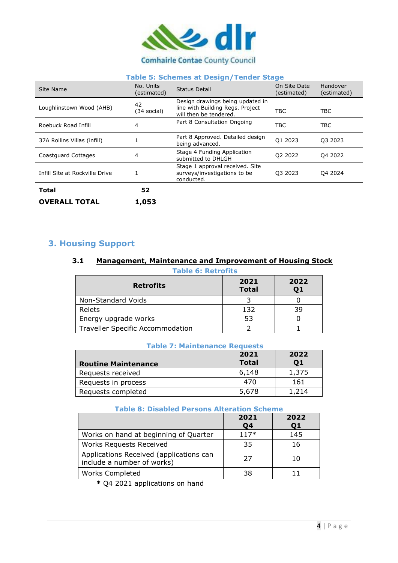

### **Table 5: Schemes at Design/Tender Stage**

| Site Name                      | No. Units<br>(estimated) | <b>Status Detail</b>                                                                           | On Site Date<br>(estimated) | Handover<br>(estimated) |
|--------------------------------|--------------------------|------------------------------------------------------------------------------------------------|-----------------------------|-------------------------|
| Loughlinstown Wood (AHB)       | 42<br>(34 social)        | Design drawings being updated in<br>line with Building Regs. Project<br>will then be tendered. | <b>TBC</b>                  | <b>TBC</b>              |
| Roebuck Road Infill            | 4                        | Part 8 Consultation Ongoing                                                                    | <b>TBC</b>                  | <b>TBC</b>              |
| 37A Rollins Villas (infill)    |                          | Part 8 Approved. Detailed design<br>being advanced.                                            | Q1 2023                     | Q3 2023                 |
| Coastguard Cottages            | 4                        | Stage 4 Funding Application<br>submitted to DHLGH                                              | Q2 2022                     | Q4 2022                 |
| Infill Site at Rockville Drive |                          | Stage 1 approval received. Site<br>surveys/investigations to be<br>conducted.                  | 03 2023                     | Q4 2024                 |
| <b>Total</b>                   | 52                       |                                                                                                |                             |                         |
| <b>OVERALL TOTAL</b>           | 1,053                    |                                                                                                |                             |                         |

## **3. Housing Support**

### **3.1 Management, Maintenance and Improvement of Housing Stock**

| <b>Table 6: Retrofits</b>        |                      |            |  |
|----------------------------------|----------------------|------------|--|
| <b>Retrofits</b>                 | 2021<br><b>Total</b> | 2022<br>Q1 |  |
| Non-Standard Voids               |                      |            |  |
| Relets                           | 132                  | 39         |  |
| Energy upgrade works             | 53                   |            |  |
| Traveller Specific Accommodation |                      |            |  |

| Table 7: Maintenance Requests |                      |            |  |
|-------------------------------|----------------------|------------|--|
| <b>Routine Maintenance</b>    | 2021<br><b>Total</b> | 2022<br>Q1 |  |
| Requests received             | 6,148                | 1,375      |  |
| Requests in process           | 470                  | 161        |  |
| Requests completed            | 5,678                | 1.214      |  |

### **Table 7: Maintenance Requests**

### **Table 8: Disabled Persons Alteration Scheme**

|                                                                       | 2021<br>Q4 | 2022<br>Q <sub>1</sub> |  |
|-----------------------------------------------------------------------|------------|------------------------|--|
| Works on hand at beginning of Quarter                                 | $117*$     | 145                    |  |
| <b>Works Requests Received</b>                                        | 35         | 16                     |  |
| Applications Received (applications can<br>include a number of works) | 27         | 10                     |  |
| <b>Works Completed</b>                                                | 38         |                        |  |

**\*** Q4 2021 applications on hand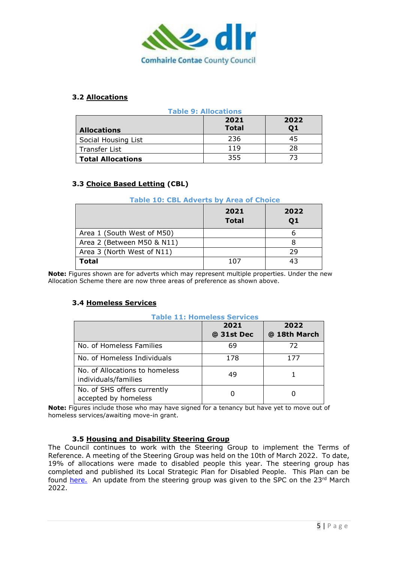

### **3.2 Allocations**

| <b>Table 9: Allocations</b> |                      |            |  |
|-----------------------------|----------------------|------------|--|
| <b>Allocations</b>          | 2021<br><b>Total</b> | 2022<br>Q1 |  |
| Social Housing List         | 236                  | 45         |  |
| Transfer List               | 119                  | 28         |  |
| <b>Total Allocations</b>    | 355                  | 73         |  |

### **3.3 Choice Based Letting (CBL)**

#### **Table 10: CBL Adverts by Area of Choice**

|                            | 2021<br><b>Total</b> | 2022<br>Q1 |
|----------------------------|----------------------|------------|
| Area 1 (South West of M50) |                      |            |
| Area 2 (Between M50 & N11) |                      |            |
| Area 3 (North West of N11) |                      | 29         |
| Total                      | 107                  | 43         |

**Note:** Figures shown are for adverts which may represent multiple properties. Under the new Allocation Scheme there are now three areas of preference as shown above.

### **3.4 Homeless Services**

#### **Table 11: Homeless Services 2021 @ 31st Dec 2022 @ 18th March** No. of Homeless Families 1 69 1 72 No. of Homeless Individuals 178 177 No. of Allocations to homeless no. or Allocations to homeless (and application of the state of the state of the state of the state of the sta<br>individuals/families (b) and a state of the state of the state of the state of the state of the state of the s No. of SHS offers currently accepted by homeless 0 0

Note: Figures include those who may have signed for a tenancy but have yet to move out of homeless services/awaiting move-in grant.

### **3.5 Housing and Disability Steering Group**

The Council continues to work with the Steering Group to implement the Terms of Reference. A meeting of the Steering Group was held on the 10th of March 2022. To date, 19% of allocations were made to disabled people this year. The steering group has completed and published its Local Strategic Plan for Disabled People. This Plan can be found [here.](https://www.dlrcoco.ie/sites/default/files/atoms/files/dlr_disability_strategic_plan_2021-2026_0.pdf) An update from the steering group was given to the SPC on the  $23<sup>rd</sup>$  March 2022.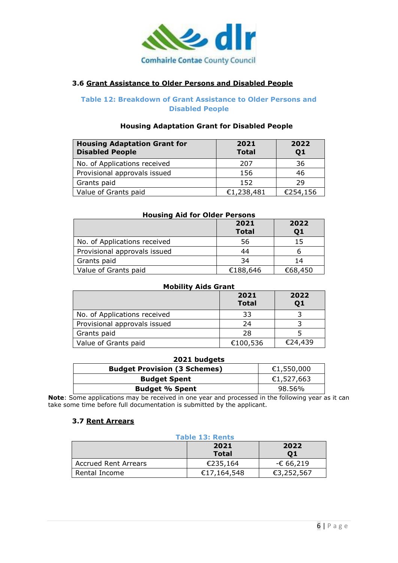

### **3.6 Grant Assistance to Older Persons and Disabled People**

### **Table 12: Breakdown of Grant Assistance to Older Persons and Disabled People**

### **Housing Adaptation Grant for Disabled People**

| <b>Housing Adaptation Grant for</b><br><b>Disabled People</b> | 2021<br><b>Total</b> | 2022<br>Q1 |
|---------------------------------------------------------------|----------------------|------------|
| No. of Applications received                                  | 207                  | 36         |
| Provisional approvals issued                                  | 156                  | 46         |
| Grants paid                                                   | 152                  | 29         |
| Value of Grants paid                                          | €1,238,481           | €254,156   |

| <b>Housing Aid for Older Persons</b> |                      |            |  |
|--------------------------------------|----------------------|------------|--|
|                                      | 2021<br><b>Total</b> | 2022<br>Q1 |  |
| No. of Applications received         | 56                   | 15         |  |
| Provisional approvals issued         | 44                   |            |  |
| Grants paid                          | 34                   | 14         |  |
| Value of Grants paid                 | €188,646             | €68,450    |  |

| <b>Mobility Aids Grant</b>   |                      |            |
|------------------------------|----------------------|------------|
|                              | 2021<br><b>Total</b> | 2022<br>Q1 |
| No. of Applications received | 33                   |            |
| Provisional approvals issued | 24                   |            |
| Grants paid                  | 28                   |            |
| Value of Grants paid         | €100,536             | €24,439    |

| 2021 budgets                        |            |  |
|-------------------------------------|------------|--|
| <b>Budget Provision (3 Schemes)</b> | €1,550,000 |  |
| <b>Budget Spent</b>                 | €1,527,663 |  |
| <b>Budget % Spent</b>               | 98.56%     |  |

**Note**: Some applications may be received in one year and processed in the following year as it can take some time before full documentation is submitted by the applicant.

### **3.7 Rent Arrears**

| <b>Table 13: Rents</b>      |                      |            |
|-----------------------------|----------------------|------------|
|                             | 2021<br><b>Total</b> | 2022<br>01 |
| <b>Accrued Rent Arrears</b> | €235,164             | -€ 66,219  |
| Rental Income               | €17,164,548          | €3,252,567 |